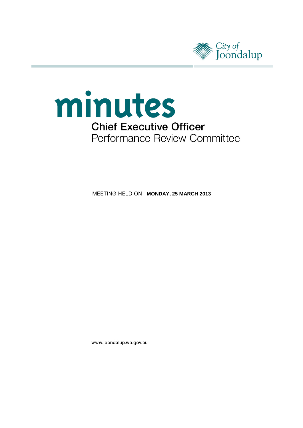



**MEETING HELD ON MONDAY, 25 MARCH 2013** 

www.joondalup.wa.gov.au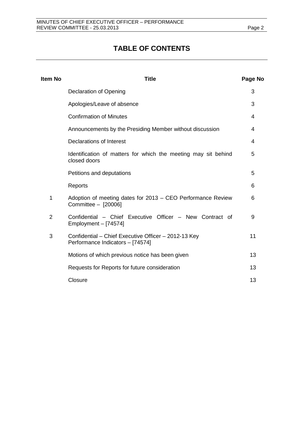# **TABLE OF CONTENTS**

| <b>Item No</b> | <b>Title</b>                                                                             | Page No |
|----------------|------------------------------------------------------------------------------------------|---------|
|                | <b>Declaration of Opening</b>                                                            | 3       |
|                | Apologies/Leave of absence                                                               | 3       |
|                | <b>Confirmation of Minutes</b>                                                           | 4       |
|                | Announcements by the Presiding Member without discussion                                 | 4       |
|                | Declarations of Interest                                                                 | 4       |
|                | Identification of matters for which the meeting may sit behind<br>closed doors           | 5       |
|                | Petitions and deputations                                                                | 5       |
|                | Reports                                                                                  | 6       |
| 1              | Adoption of meeting dates for 2013 – CEO Performance Review<br>Committee - [20006]       | 6       |
| $\overline{2}$ | Confidential - Chief Executive Officer - New Contract of<br>Employment $-$ [74574]       | 9       |
| 3              | Confidential - Chief Executive Officer - 2012-13 Key<br>Performance Indicators - [74574] | 11      |
|                | Motions of which previous notice has been given                                          | 13      |
|                | Requests for Reports for future consideration                                            | 13      |
|                | Closure                                                                                  | 13      |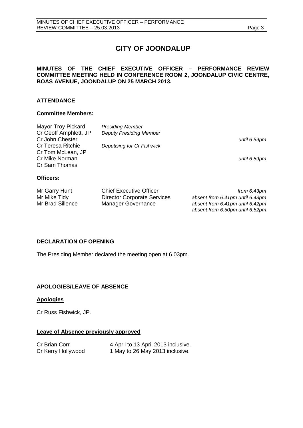# **CITY OF JOONDALUP**

#### **MINUTES OF THE CHIEF EXECUTIVE OFFICER – PERFORMANCE REVIEW COMMITTEE MEETING HELD IN CONFERENCE ROOM 2, JOONDALUP CIVIC CENTRE, BOAS AVENUE, JOONDALUP ON 25 MARCH 2013.**

### **ATTENDANCE**

#### **Committee Members:**

| Mayor Troy Pickard<br>Cr Geoff Amphlett, JP<br>Cr John Chester | <b>Presiding Member</b><br><b>Deputy Presiding Member</b> | until 6.59pm |
|----------------------------------------------------------------|-----------------------------------------------------------|--------------|
| <b>Cr Teresa Ritchie</b><br>Cr Tom McLean, JP                  | Deputising for Cr Fishwick                                |              |
| Cr Mike Norman<br>Cr Sam Thomas                                |                                                           | until 6.59pm |
| Officers:                                                      |                                                           |              |

| Mr Garry Hunt    | <b>Chief Executive Officer</b>     | from $6.43pm$                   |
|------------------|------------------------------------|---------------------------------|
| Mr Mike Tidy     | <b>Director Corporate Services</b> | absent from 6.41pm until 6.43pm |
| Mr Brad Sillence | Manager Governance                 | absent from 6.41pm until 6.42pm |
|                  |                                    | absent from 6.50pm until 6.52pm |

#### <span id="page-2-0"></span>**DECLARATION OF OPENING**

The Presiding Member declared the meeting open at 6.03pm.

## <span id="page-2-1"></span>**APOLOGIES/LEAVE OF ABSENCE**

#### **Apologies**

Cr Russ Fishwick, JP.

#### **Leave of Absence previously approved**

| Cr Brian Corr      | 4 April to 13 April 2013 inclusive. |
|--------------------|-------------------------------------|
| Cr Kerry Hollywood | 1 May to 26 May 2013 inclusive.     |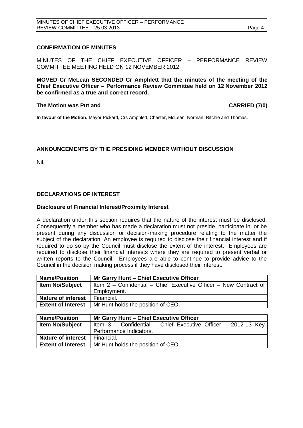#### <span id="page-3-0"></span>**CONFIRMATION OF MINUTES**

MINUTES OF THE CHIEF EXECUTIVE OFFICER – PERFORMANCE REVIEW COMMITTEE MEETING HELD ON 12 NOVEMBER 2012

**MOVED Cr McLean SECONDED Cr Amphlett that the minutes of the meeting of the Chief Executive Officer – Performance Review Committee held on 12 November 2012 be confirmed as a true and correct record.**

#### The Motion was Put and **CARRIED** (7/0)

**In favour of the Motion:** Mayor Pickard, Crs Amphlett, Chester, McLean, Norman, Ritchie and Thomas.

#### <span id="page-3-1"></span>**ANNOUNCEMENTS BY THE PRESIDING MEMBER WITHOUT DISCUSSION**

Nil.

### <span id="page-3-2"></span>**DECLARATIONS OF INTEREST**

#### **Disclosure of Financial Interest/Proximity Interest**

A declaration under this section requires that the nature of the interest must be disclosed. Consequently a member who has made a declaration must not preside, participate in, or be present during any discussion or decision-making procedure relating to the matter the subject of the declaration. An employee is required to disclose their financial interest and if required to do so by the Council must disclose the extent of the interest. Employees are required to disclose their financial interests where they are required to present verbal or written reports to the Council. Employees are able to continue to provide advice to the Council in the decision making process if they have disclosed their interest.

| <b>Name/Position</b>      | Mr Garry Hunt - Chief Executive Officer                           |
|---------------------------|-------------------------------------------------------------------|
| <b>Item No/Subject</b>    | Item 2 – Confidential – Chief Executive Officer – New Contract of |
|                           | Employment.                                                       |
| <b>Nature of interest</b> | Financial.                                                        |
| <b>Extent of Interest</b> | Mr Hunt holds the position of CEO.                                |
|                           |                                                                   |

| <b>Name/Position</b>      | Mr Garry Hunt - Chief Executive Officer                       |  |
|---------------------------|---------------------------------------------------------------|--|
| <b>Item No/Subject</b>    | Item 3 - Confidential - Chief Executive Officer - 2012-13 Key |  |
|                           | Performance Indicators.                                       |  |
| <b>Nature of interest</b> | Financial.                                                    |  |
| <b>Extent of Interest</b> | Mr Hunt holds the position of CEO.                            |  |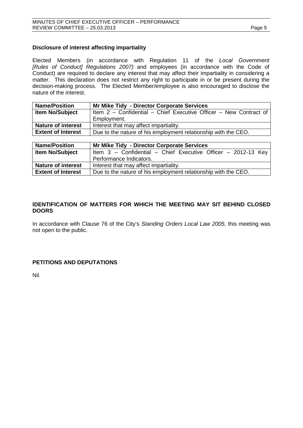#### **Disclosure of interest affecting impartiality**

Elected Members (in accordance with Regulation 11 of the *Local Government [Rules of Conduct] Regulations 2007)* and employees (in accordance with the Code of Conduct) are required to declare any interest that may affect their impartiality in considering a matter. This declaration does not restrict any right to participate in or be present during the decision-making process. The Elected Member/employee is also encouraged to disclose the nature of the interest.

| <b>Name/Position</b>      | Mr Mike Tidy - Director Corporate Services                        |
|---------------------------|-------------------------------------------------------------------|
| <b>Item No/Subject</b>    | Item 2 – Confidential – Chief Executive Officer – New Contract of |
|                           | Employment.                                                       |
| <b>Nature of interest</b> | Interest that may affect impartiality.                            |
| <b>Extent of Interest</b> | Due to the nature of his employment relationship with the CEO.    |

| <b>Name/Position</b>      | Mr Mike Tidy - Director Corporate Services                      |
|---------------------------|-----------------------------------------------------------------|
| <b>Item No/Subject</b>    | Item $3$ – Confidential – Chief Executive Officer – 2012-13 Key |
|                           | Performance Indicators.                                         |
| <b>Nature of interest</b> | Interest that may affect impartiality.                          |
| <b>Extent of Interest</b> | Due to the nature of his employment relationship with the CEO.  |

#### <span id="page-4-0"></span>**IDENTIFICATION OF MATTERS FOR WHICH THE MEETING MAY SIT BEHIND CLOSED DOORS**

In accordance with Clause 76 of the City's *Standing Orders Local Law 2005*, this meeting was not open to the public.

#### <span id="page-4-1"></span>**PETITIONS AND DEPUTATIONS**

<span id="page-4-2"></span>Nil.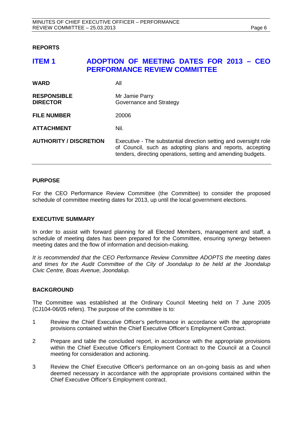#### **REPORTS**

## <span id="page-5-0"></span>**ITEM 1 ADOPTION OF MEETING DATES FOR 2013 – CEO PERFORMANCE REVIEW COMMITTEE**

| <b>WARD</b>                           | All                                                                                                                                                                                           |
|---------------------------------------|-----------------------------------------------------------------------------------------------------------------------------------------------------------------------------------------------|
| <b>RESPONSIBLE</b><br><b>DIRECTOR</b> | Mr Jamie Parry<br>Governance and Strategy                                                                                                                                                     |
| <b>FILE NUMBER</b>                    | 20006                                                                                                                                                                                         |
| <b>ATTACHMENT</b>                     | Nil.                                                                                                                                                                                          |
| <b>AUTHORITY / DISCRETION</b>         | Executive - The substantial direction setting and oversight role<br>of Council, such as adopting plans and reports, accepting<br>tenders, directing operations, setting and amending budgets. |

#### **PURPOSE**

For the CEO Performance Review Committee (the Committee) to consider the proposed schedule of committee meeting dates for 2013, up until the local government elections.

#### **EXECUTIVE SUMMARY**

In order to assist with forward planning for all Elected Members, management and staff, a schedule of meeting dates has been prepared for the Committee, ensuring synergy between meeting dates and the flow of information and decision-making.

*It is recommended that the CEO Performance Review Committee ADOPTS the meeting dates and times for the Audit Committee of the City of Joondalup to be held at the Joondalup Civic Centre, Boas Avenue, Joondalup.*

#### **BACKGROUND**

The Committee was established at the Ordinary Council Meeting held on 7 June 2005 (CJ104-06/05 refers). The purpose of the committee is to:

- 1 Review the Chief Executive Officer's performance in accordance with the appropriate provisions contained within the Chief Executive Officer's Employment Contract.
- 2 Prepare and table the concluded report, in accordance with the appropriate provisions within the Chief Executive Officer's Employment Contract to the Council at a Council meeting for consideration and actioning.
- 3 Review the Chief Executive Officer's performance on an on-going basis as and when deemed necessary in accordance with the appropriate provisions contained within the Chief Executive Officer's Employment contract.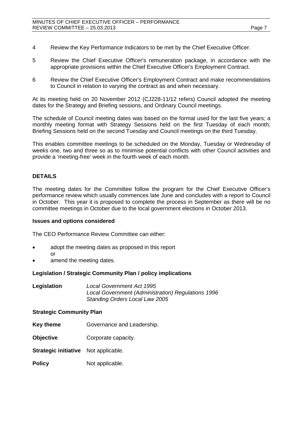- 4 Review the Key Performance Indicators to be met by the Chief Executive Officer.
- 5 Review the Chief Executive Officer's remuneration package, in accordance with the appropriate provisions within the Chief Executive Officer's Employment Contract.
- 6 Review the Chief Executive Officer's Employment Contract and make recommendations to Council in relation to varying the contract as and when necessary.

At its meeting held on 20 November 2012 (CJ228-11/12 refers) Council adopted the meeting dates for the Strategy and Briefing sessions, and Ordinary Council meetings.

The schedule of Council meeting dates was based on the format used for the last five years; a monthly meeting format with Strategy Sessions held on the first Tuesday of each month; Briefing Sessions held on the second Tuesday and Council meetings on the third Tuesday.

This enables committee meetings to be scheduled on the Monday, Tuesday or Wednesday of weeks one, two and three so as to minimise potential conflicts with other Council activities and provide a 'meeting-free' week in the fourth week of each month.

### **DETAILS**

The meeting dates for the Committee follow the program for the Chief Executive Officer's performance review which usually commences late June and concludes with a report to Council in October. This year it is proposed to complete the process in September as there will be no committee meetings in October due to the local government elections in October 2013.

#### **Issues and options considered**

The CEO Performance Review Committee can either:

- adopt the meeting dates as proposed in this report or
- amend the meeting dates.

#### **Legislation / Strategic Community Plan / policy implications**

**Legislation** *Local Government Act 1995 Local Government (Administration) Regulations 1996 Standing Orders Local Law 2005*

#### **Strategic Community Plan**

- **Key theme** Governance and Leadership.
- **Objective Corporate capacity.**
- **Strategic initiative** Not applicable.
- **Policy** Not applicable.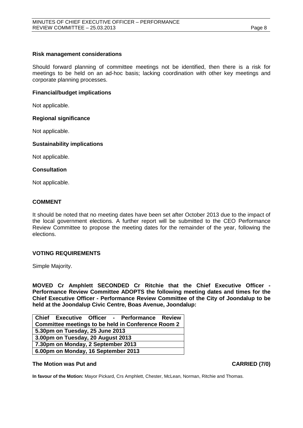#### **Risk management considerations**

Should forward planning of committee meetings not be identified, then there is a risk for meetings to be held on an ad-hoc basis; lacking coordination with other key meetings and corporate planning processes.

#### **Financial/budget implications**

Not applicable.

#### **Regional significance**

Not applicable.

#### **Sustainability implications**

Not applicable.

#### **Consultation**

Not applicable.

#### **COMMENT**

It should be noted that no meeting dates have been set after October 2013 due to the impact of the local government elections. A further report will be submitted to the CEO Performance Review Committee to propose the meeting dates for the remainder of the year, following the elections.

#### **VOTING REQUIREMENTS**

Simple Majority.

**MOVED Cr Amphlett SECONDED Cr Ritchie that the Chief Executive Officer - Performance Review Committee ADOPTS the following meeting dates and times for the Chief Executive Officer - Performance Review Committee of the City of Joondalup to be held at the Joondalup Civic Centre, Boas Avenue, Joondalup:**

|                                     |  | Chief Executive Officer - Performance Review              |  |
|-------------------------------------|--|-----------------------------------------------------------|--|
|                                     |  | <b>Committee meetings to be held in Conference Room 2</b> |  |
| 5.30pm on Tuesday, 25 June 2013     |  |                                                           |  |
| 3.00pm on Tuesday, 20 August 2013   |  |                                                           |  |
| 7.30pm on Monday, 2 September 2013  |  |                                                           |  |
| 6.00pm on Monday, 16 September 2013 |  |                                                           |  |

#### **The Motion was Put and CARRIED (7/0)**

**In favour of the Motion:** Mayor Pickard, Crs Amphlett, Chester, McLean, Norman, Ritchie and Thomas.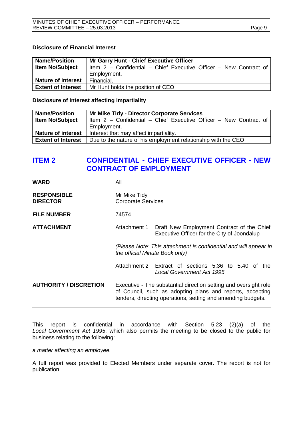#### **Disclosure of Financial Interest**

| <b>Name/Position</b>      | <b>Mr Garry Hunt - Chief Executive Officer</b>                    |  |  |
|---------------------------|-------------------------------------------------------------------|--|--|
| <b>Item No/Subject</b>    | Item 2 - Confidential - Chief Executive Officer - New Contract of |  |  |
|                           | Employment.                                                       |  |  |
| <b>Nature of interest</b> | Financial.                                                        |  |  |
| <b>Extent of Interest</b> | Mr Hunt holds the position of CEO.                                |  |  |

#### **Disclosure of interest affecting impartiality**

| <b>Name/Position</b>      | <b>Mr Mike Tidy - Director Corporate Services</b>                 |
|---------------------------|-------------------------------------------------------------------|
| <b>Item No/Subject</b>    | Item 2 - Confidential - Chief Executive Officer - New Contract of |
|                           | Employment.                                                       |
| <b>Nature of interest</b> | Interest that may affect impartiality.                            |
| <b>Extent of Interest</b> | Due to the nature of his employment relationship with the CEO.    |

## <span id="page-8-0"></span>**ITEM 2 CONFIDENTIAL - CHIEF EXECUTIVE OFFICER - NEW CONTRACT OF EMPLOYMENT**

| <b>WARD</b>                           | All                                                                                                |                                                                                                                                                                                               |
|---------------------------------------|----------------------------------------------------------------------------------------------------|-----------------------------------------------------------------------------------------------------------------------------------------------------------------------------------------------|
| <b>RESPONSIBLE</b><br><b>DIRECTOR</b> | Mr Mike Tidy<br><b>Corporate Services</b>                                                          |                                                                                                                                                                                               |
| <b>FILE NUMBER</b>                    | 74574                                                                                              |                                                                                                                                                                                               |
| <b>ATTACHMENT</b>                     | Attachment 1                                                                                       | Draft New Employment Contract of the Chief<br>Executive Officer for the City of Joondalup                                                                                                     |
|                                       | (Please Note: This attachment is confidential and will appear in<br>the official Minute Book only) |                                                                                                                                                                                               |
|                                       |                                                                                                    | Attachment 2 Extract of sections 5.36 to 5.40 of the<br>Local Government Act 1995                                                                                                             |
| <b>AUTHORITY / DISCRETION</b>         |                                                                                                    | Executive - The substantial direction setting and oversight role<br>of Council, such as adopting plans and reports, accepting<br>tenders, directing operations, setting and amending budgets. |

This report is confidential in accordance with Section 5.23 (2)(a) of the *Local Government Act 1995*, which also permits the meeting to be closed to the public for business relating to the following:

*a matter affecting an employee.*

A full report was provided to Elected Members under separate cover. The report is not for publication.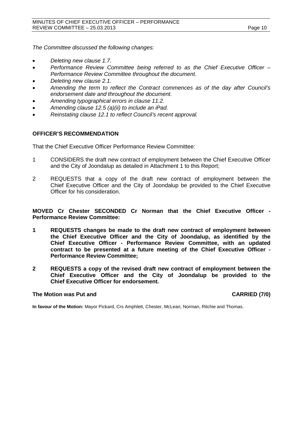*The Committee discussed the following changes:*

- *Deleting new clause 1.7.*
- *Performance Review Committee being referred to as the Chief Executive Officer – Performance Review Committee throughout the document.*
- *Deleting new clause 2.1.*
- *Amending the term to reflect the Contract commences as of the day after Council's endorsement date and throughout the document.*
- *Amending typographical errors in clause 11.2.*
- *Amending clause 12.5 (a)(ii) to include an iPad.*
- *Reinstating clause 12.1 to reflect Council's recent approval.*

#### **OFFICER'S RECOMMENDATION**

That the Chief Executive Officer Performance Review Committee:

- 1 CONSIDERS the draft new contract of employment between the Chief Executive Officer and the City of Joondalup as detailed in Attachment 1 to this Report;
- 2 REQUESTS that a copy of the draft new contract of employment between the Chief Executive Officer and the City of Joondalup be provided to the Chief Executive Officer for his consideration.

**MOVED Cr Chester SECONDED Cr Norman that the Chief Executive Officer - Performance Review Committee:**

- **1 REQUESTS changes be made to the draft new contract of employment between the Chief Executive Officer and the City of Joondalup, as identified by the Chief Executive Officer - Performance Review Committee, with an updated contract to be presented at a future meeting of the Chief Executive Officer - Performance Review Committee;**
- **2 REQUESTS a copy of the revised draft new contract of employment between the Chief Executive Officer and the City of Joondalup be provided to the Chief Executive Officer for endorsement.**

#### The Motion was Put and **CARRIED** (7/0)

**In favour of the Motion:** Mayor Pickard, Crs Amphlett, Chester, McLean, Norman, Ritchie and Thomas.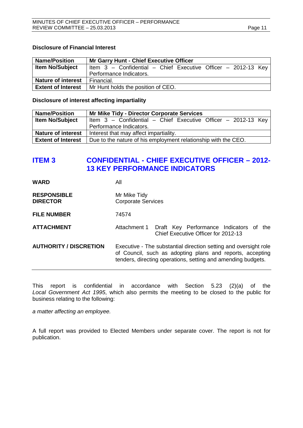#### **Disclosure of Financial Interest**

| <b>Name/Position</b>      | <b>Mr Garry Hunt - Chief Executive Officer</b>                  |
|---------------------------|-----------------------------------------------------------------|
| <b>Item No/Subject</b>    | Item $3$ – Confidential – Chief Executive Officer – 2012-13 Key |
|                           | Performance Indicators.                                         |
| <b>Nature of interest</b> | Financial.                                                      |
| <b>Extent of Interest</b> | Mr Hunt holds the position of CEO.                              |

#### **Disclosure of interest affecting impartiality**

| <b>Name/Position</b>      | <b>Mr Mike Tidy - Director Corporate Services</b>               |
|---------------------------|-----------------------------------------------------------------|
| <b>Item No/Subject</b>    | Item $3$ – Confidential – Chief Executive Officer – 2012-13 Key |
|                           | Performance Indicators.                                         |
| <b>Nature of interest</b> | Interest that may affect impartiality.                          |
| <b>Extent of Interest</b> | Due to the nature of his employment relationship with the CEO.  |

## <span id="page-10-0"></span>**ITEM 3 CONFIDENTIAL - CHIEF EXECUTIVE OFFICER – 2012- 13 KEY PERFORMANCE INDICATORS**

| <b>WARD</b>                           | All                                                                                                                                                                                           |
|---------------------------------------|-----------------------------------------------------------------------------------------------------------------------------------------------------------------------------------------------|
| <b>RESPONSIBLE</b><br><b>DIRECTOR</b> | Mr Mike Tidy<br><b>Corporate Services</b>                                                                                                                                                     |
| <b>FILE NUMBER</b>                    | 74574                                                                                                                                                                                         |
| <b>ATTACHMENT</b>                     | Draft Key Performance Indicators of the<br>Attachment 1<br>Chief Executive Officer for 2012-13                                                                                                |
| <b>AUTHORITY / DISCRETION</b>         | Executive - The substantial direction setting and oversight role<br>of Council, such as adopting plans and reports, accepting<br>tenders, directing operations, setting and amending budgets. |

This report is confidential in accordance with Section 5.23 (2)(a) of the *Local Government Act 1995*, which also permits the meeting to be closed to the public for business relating to the following:

*a matter affecting an employee.*

A full report was provided to Elected Members under separate cover. The report is not for publication.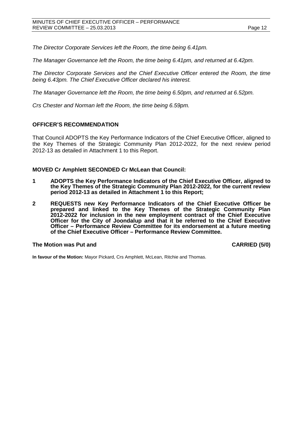*The Director Corporate Services left the Room, the time being 6.41pm.*

*The Manager Governance left the Room, the time being 6.41pm, and returned at 6.42pm.*

*The Director Corporate Services and the Chief Executive Officer entered the Room, the time being 6.43pm. The Chief Executive Officer declared his interest.* 

*The Manager Governance left the Room, the time being 6.50pm, and returned at 6.52pm.*

*Crs Chester and Norman left the Room, the time being 6.59pm.*

#### **OFFICER'S RECOMMENDATION**

That Council ADOPTS the Key Performance Indicators of the Chief Executive Officer, aligned to the Key Themes of the Strategic Community Plan 2012-2022, for the next review period 2012-13 as detailed in Attachment 1 to this Report.

#### **MOVED Cr Amphlett SECONDED Cr McLean that Council:**

- **1 ADOPTS the Key Performance Indicators of the Chief Executive Officer, aligned to the Key Themes of the Strategic Community Plan 2012-2022, for the current review period 2012-13 as detailed in Attachment 1 to this Report;**
- **2 REQUESTS new Key Performance Indicators of the Chief Executive Officer be prepared and linked to the Key Themes of the Strategic Community Plan 2012-2022 for inclusion in the new employment contract of the Chief Executive Officer for the City of Joondalup and that it be referred to the Chief Executive Officer – Performance Review Committee for its endorsement at a future meeting of the Chief Executive Officer – Performance Review Committee.**

#### The Motion was Put and **CARRIED** (5/0)

**In favour of the Motion:** Mayor Pickard, Crs Amphlett, McLean, Ritchie and Thomas.